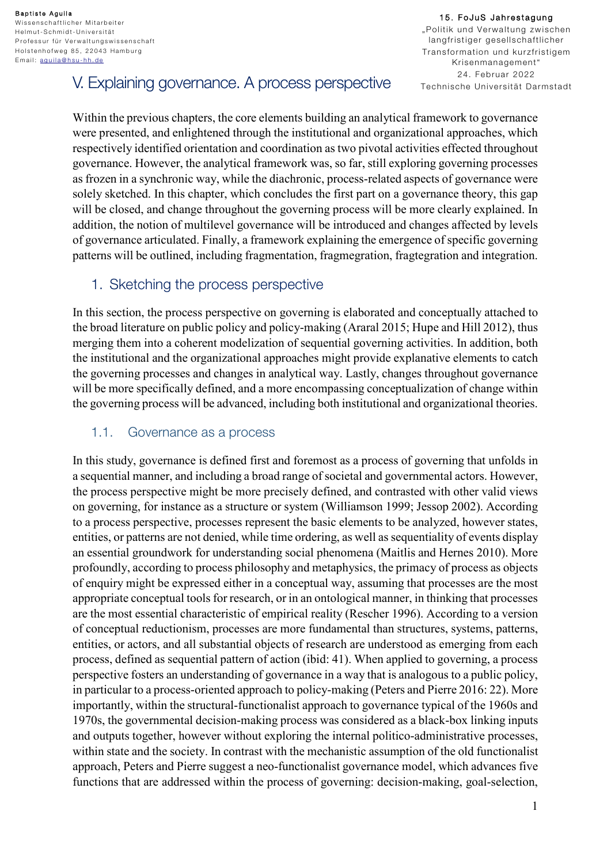15. FoJuS Jahrestagung "Politik und Verwaltung zwischen langfristiger gesellschaftlicher Transformation und kurzfristigem Krisenmanagement" 24. Februar 2022 Technische Universität Darmstadt

# V. Explaining governance. A process perspective

Within the previous chapters, the core elements building an analytical framework to governance were presented, and enlightened through the institutional and organizational approaches, which respectively identified orientation and coordination as two pivotal activities effected throughout governance. However, the analytical framework was, so far, still exploring governing processes as frozen in a synchronic way, while the diachronic, process-related aspects of governance were solely sketched. In this chapter, which concludes the first part on a governance theory, this gap will be closed, and change throughout the governing process will be more clearly explained. In addition, the notion of multilevel governance will be introduced and changes affected by levels of governance articulated. Finally, a framework explaining the emergence of specific governing patterns will be outlined, including fragmentation, fragmegration, fragtegration and integration.

# 1. Sketching the process perspective

In this section, the process perspective on governing is elaborated and conceptually attached to the broad literature on public policy and policy-making (Araral 2015; Hupe and Hill 2012), thus merging them into a coherent modelization of sequential governing activities. In addition, both the institutional and the organizational approaches might provide explanative elements to catch the governing processes and changes in analytical way. Lastly, changes throughout governance will be more specifically defined, and a more encompassing conceptualization of change within the governing process will be advanced, including both institutional and organizational theories.

# 1.1. Governance as a process

In this study, governance is defined first and foremost as a process of governing that unfolds in a sequential manner, and including a broad range of societal and governmental actors. However, the process perspective might be more precisely defined, and contrasted with other valid views on governing, for instance as a structure or system (Williamson 1999; Jessop 2002). According to a process perspective, processes represent the basic elements to be analyzed, however states, entities, or patterns are not denied, while time ordering, as well as sequentiality of events display an essential groundwork for understanding social phenomena (Maitlis and Hernes 2010). More profoundly, according to process philosophy and metaphysics, the primacy of process as objects of enquiry might be expressed either in a conceptual way, assuming that processes are the most appropriate conceptual tools for research, or in an ontological manner, in thinking that processes are the most essential characteristic of empirical reality (Rescher 1996). According to a version of conceptual reductionism, processes are more fundamental than structures, systems, patterns, entities, or actors, and all substantial objects of research are understood as emerging from each process, defined as sequential pattern of action (ibid: 41). When applied to governing, a process perspective fosters an understanding of governance in a way that is analogous to a public policy, in particular to a process-oriented approach to policy-making (Peters and Pierre 2016: 22). More importantly, within the structural-functionalist approach to governance typical of the 1960s and 1970s, the governmental decision-making process was considered as a black-box linking inputs and outputs together, however without exploring the internal politico-administrative processes, within state and the society. In contrast with the mechanistic assumption of the old functionalist approach, Peters and Pierre suggest a neo-functionalist governance model, which advances five functions that are addressed within the process of governing: decision-making, goal-selection,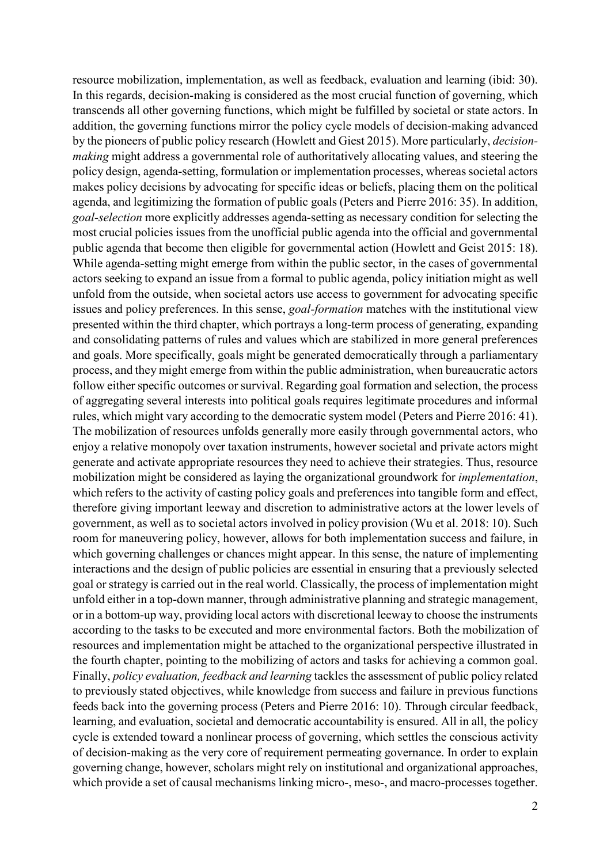resource mobilization, implementation, as well as feedback, evaluation and learning (ibid: 30). In this regards, decision-making is considered as the most crucial function of governing, which transcends all other governing functions, which might be fulfilled by societal or state actors. In addition, the governing functions mirror the policy cycle models of decision-making advanced by the pioneers of public policy research (Howlett and Giest 2015). More particularly, *decisionmaking* might address a governmental role of authoritatively allocating values, and steering the policy design, agenda-setting, formulation or implementation processes, whereas societal actors makes policy decisions by advocating for specific ideas or beliefs, placing them on the political agenda, and legitimizing the formation of public goals (Peters and Pierre 2016: 35). In addition, *goal-selection* more explicitly addresses agenda-setting as necessary condition for selecting the most crucial policies issues from the unofficial public agenda into the official and governmental public agenda that become then eligible for governmental action (Howlett and Geist 2015: 18). While agenda-setting might emerge from within the public sector, in the cases of governmental actors seeking to expand an issue from a formal to public agenda, policy initiation might as well unfold from the outside, when societal actors use access to government for advocating specific issues and policy preferences. In this sense, *goal-formation* matches with the institutional view presented within the third chapter, which portrays a long-term process of generating, expanding and consolidating patterns of rules and values which are stabilized in more general preferences and goals. More specifically, goals might be generated democratically through a parliamentary process, and they might emerge from within the public administration, when bureaucratic actors follow either specific outcomes or survival. Regarding goal formation and selection, the process of aggregating several interests into political goals requires legitimate procedures and informal rules, which might vary according to the democratic system model (Peters and Pierre 2016: 41). The mobilization of resources unfolds generally more easily through governmental actors, who enjoy a relative monopoly over taxation instruments, however societal and private actors might generate and activate appropriate resources they need to achieve their strategies. Thus, resource mobilization might be considered as laying the organizational groundwork for *implementation*, which refers to the activity of casting policy goals and preferences into tangible form and effect, therefore giving important leeway and discretion to administrative actors at the lower levels of government, as well as to societal actors involved in policy provision (Wu et al. 2018: 10). Such room for maneuvering policy, however, allows for both implementation success and failure, in which governing challenges or chances might appear. In this sense, the nature of implementing interactions and the design of public policies are essential in ensuring that a previously selected goal or strategy is carried out in the real world. Classically, the process of implementation might unfold either in a top-down manner, through administrative planning and strategic management, or in a bottom-up way, providing local actors with discretional leeway to choose the instruments according to the tasks to be executed and more environmental factors. Both the mobilization of resources and implementation might be attached to the organizational perspective illustrated in the fourth chapter, pointing to the mobilizing of actors and tasks for achieving a common goal. Finally, *policy evaluation, feedback and learning* tackles the assessment of public policy related to previously stated objectives, while knowledge from success and failure in previous functions feeds back into the governing process (Peters and Pierre 2016: 10). Through circular feedback, learning, and evaluation, societal and democratic accountability is ensured. All in all, the policy cycle is extended toward a nonlinear process of governing, which settles the conscious activity of decision-making as the very core of requirement permeating governance. In order to explain governing change, however, scholars might rely on institutional and organizational approaches, which provide a set of causal mechanisms linking micro-, meso-, and macro-processes together.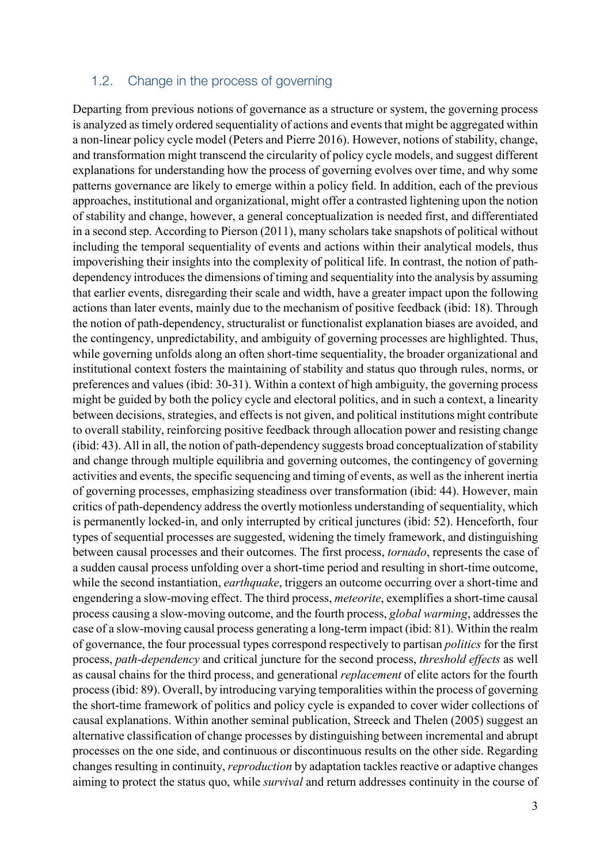#### 1.2. Change in the process of governing

Departing from previous notions of governance as a structure or system, the governing process is analyzed as timely ordered sequentiality of actions and events that might be aggregated within a non-linear policy cycle model (Peters and Pierre 2016). However, notions of stability, change, and transformation might transcend the circularity of policy cycle models, and suggest different explanations for understanding how the process of governing evolves over time, and why some patterns governance are likely to emerge within a policy field. In addition, each of the previous approaches, institutional and organizational, might offer a contrasted lightening upon the notion of stability and change, however, a general conceptualization is needed first, and differentiated in a second step. According to Pierson (2011), many scholars take snapshots of political without including the temporal sequentiality of events and actions within their analytical models, thus impoverishing their insights into the complexity of political life. In contrast, the notion of pathdependency introduces the dimensions of timing and sequentiality into the analysis by assuming that earlier events, disregarding their scale and width, have a greater impact upon the following actions than later events, mainly due to the mechanism of positive feedback (ibid: 18). Through the notion of path-dependency, structuralist or functionalist explanation biases are avoided, and the contingency, unpredictability, and ambiguity of governing processes are highlighted. Thus, while governing unfolds along an often short-time sequentiality, the broader organizational and institutional context fosters the maintaining of stability and status quo through rules, norms, or preferences and values (ibid: 30-31). Within a context of high ambiguity, the governing process might be guided by both the policy cycle and electoral politics, and in such a context, a linearity between decisions, strategies, and effects is not given, and political institutions might contribute to overall stability, reinforcing positive feedback through allocation power and resisting change (ibid: 43). All in all, the notion of path-dependency suggests broad conceptualization of stability and change through multiple equilibria and governing outcomes, the contingency of governing activities and events, the specific sequencing and timing of events, as well as the inherent inertia of governing processes, emphasizing steadiness over transformation (ibid: 44). However, main critics of path-dependency address the overtly motionless understanding of sequentiality, which is permanently locked-in, and only interrupted by critical junctures (ibid: 52). Henceforth, four types of sequential processes are suggested, widening the timely framework, and distinguishing between causal processes and their outcomes. The first process, *tornado*, represents the case of a sudden causal process unfolding over a short-time period and resulting in short-time outcome, while the second instantiation, *earthquake*, triggers an outcome occurring over a short-time and engendering a slow-moving effect. The third process, *meteorite*, exemplifies a short-time causal process causing a slow-moving outcome, and the fourth process, *global warming*, addresses the case of a slow-moving causal process generating a long-term impact (ibid: 81). Within the realm of governance, the four processual types correspond respectively to partisan *politics* for the first process, *path-dependency* and critical juncture for the second process, *threshold effects* as well as causal chains for the third process, and generational *replacement* of elite actors for the fourth process (ibid: 89). Overall, by introducing varying temporalities within the process of governing the short-time framework of politics and policy cycle is expanded to cover wider collections of causal explanations. Within another seminal publication, Streeck and Thelen (2005) suggest an alternative classification of change processes by distinguishing between incremental and abrupt processes on the one side, and continuous or discontinuous results on the other side. Regarding changes resulting in continuity, *reproduction* by adaptation tackles reactive or adaptive changes aiming to protect the status quo, while *survival* and return addresses continuity in the course of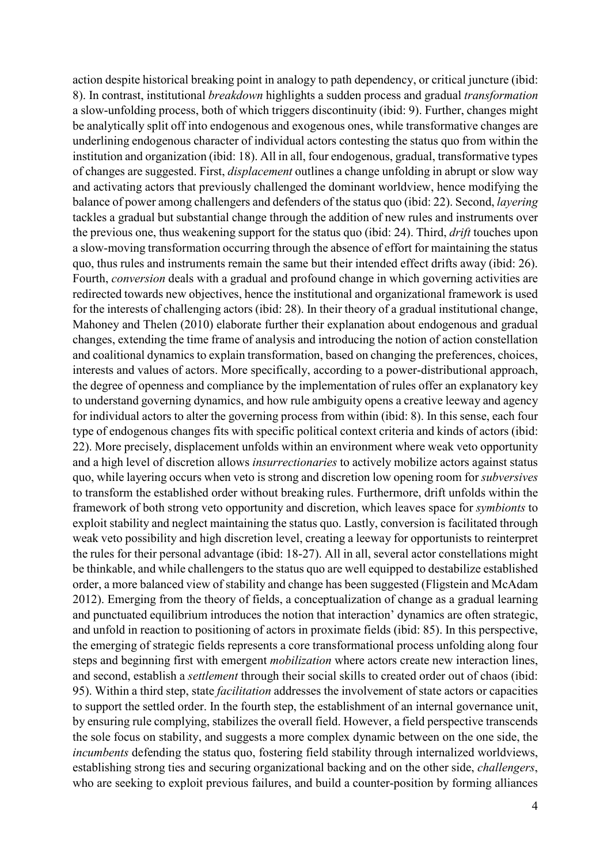action despite historical breaking point in analogy to path dependency, or critical juncture (ibid: 8). In contrast, institutional *breakdown* highlights a sudden process and gradual *transformation* a slow-unfolding process, both of which triggers discontinuity (ibid: 9). Further, changes might be analytically split off into endogenous and exogenous ones, while transformative changes are underlining endogenous character of individual actors contesting the status quo from within the institution and organization (ibid: 18). All in all, four endogenous, gradual, transformative types of changes are suggested. First, *displacement* outlines a change unfolding in abrupt or slow way and activating actors that previously challenged the dominant worldview, hence modifying the balance of power among challengers and defenders of the status quo (ibid: 22). Second, *layering* tackles a gradual but substantial change through the addition of new rules and instruments over the previous one, thus weakening support for the status quo (ibid: 24). Third, *drift* touches upon a slow-moving transformation occurring through the absence of effort for maintaining the status quo, thus rules and instruments remain the same but their intended effect drifts away (ibid: 26). Fourth, *conversion* deals with a gradual and profound change in which governing activities are redirected towards new objectives, hence the institutional and organizational framework is used for the interests of challenging actors (ibid: 28). In their theory of a gradual institutional change, Mahoney and Thelen (2010) elaborate further their explanation about endogenous and gradual changes, extending the time frame of analysis and introducing the notion of action constellation and coalitional dynamics to explain transformation, based on changing the preferences, choices, interests and values of actors. More specifically, according to a power-distributional approach, the degree of openness and compliance by the implementation of rules offer an explanatory key to understand governing dynamics, and how rule ambiguity opens a creative leeway and agency for individual actors to alter the governing process from within (ibid: 8). In this sense, each four type of endogenous changes fits with specific political context criteria and kinds of actors (ibid: 22). More precisely, displacement unfolds within an environment where weak veto opportunity and a high level of discretion allows *insurrectionaries* to actively mobilize actors against status quo, while layering occurs when veto is strong and discretion low opening room for *subversives* to transform the established order without breaking rules. Furthermore, drift unfolds within the framework of both strong veto opportunity and discretion, which leaves space for *symbionts* to exploit stability and neglect maintaining the status quo. Lastly, conversion is facilitated through weak veto possibility and high discretion level, creating a leeway for opportunists to reinterpret the rules for their personal advantage (ibid: 18-27). All in all, several actor constellations might be thinkable, and while challengers to the status quo are well equipped to destabilize established order, a more balanced view of stability and change has been suggested (Fligstein and McAdam 2012). Emerging from the theory of fields, a conceptualization of change as a gradual learning and punctuated equilibrium introduces the notion that interaction' dynamics are often strategic, and unfold in reaction to positioning of actors in proximate fields (ibid: 85). In this perspective, the emerging of strategic fields represents a core transformational process unfolding along four steps and beginning first with emergent *mobilization* where actors create new interaction lines, and second, establish a *settlement* through their social skills to created order out of chaos (ibid: 95). Within a third step, state *facilitation* addresses the involvement of state actors or capacities to support the settled order. In the fourth step, the establishment of an internal governance unit, by ensuring rule complying, stabilizes the overall field. However, a field perspective transcends the sole focus on stability, and suggests a more complex dynamic between on the one side, the *incumbents* defending the status quo, fostering field stability through internalized worldviews, establishing strong ties and securing organizational backing and on the other side, *challengers*, who are seeking to exploit previous failures, and build a counter-position by forming alliances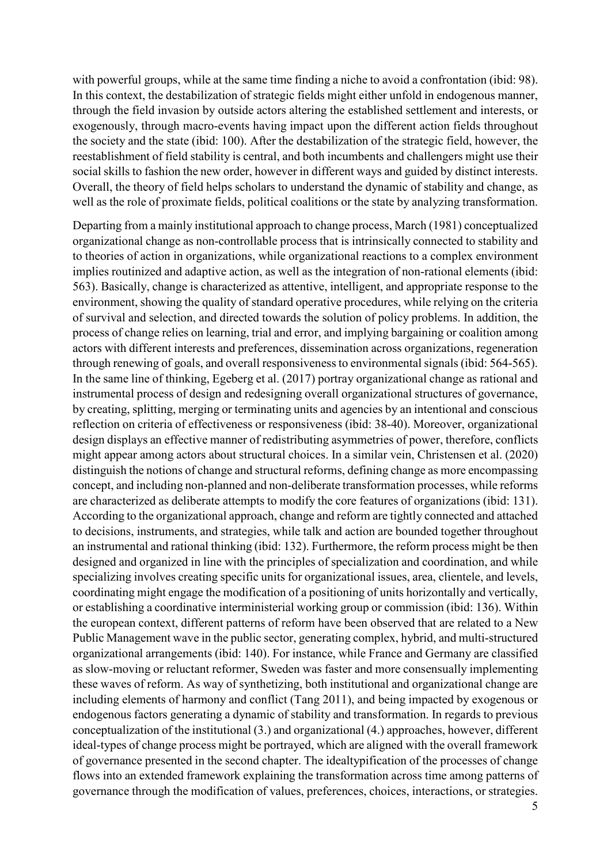with powerful groups, while at the same time finding a niche to avoid a confrontation (ibid: 98). In this context, the destabilization of strategic fields might either unfold in endogenous manner, through the field invasion by outside actors altering the established settlement and interests, or exogenously, through macro-events having impact upon the different action fields throughout the society and the state (ibid: 100). After the destabilization of the strategic field, however, the reestablishment of field stability is central, and both incumbents and challengers might use their social skills to fashion the new order, however in different ways and guided by distinct interests. Overall, the theory of field helps scholars to understand the dynamic of stability and change, as well as the role of proximate fields, political coalitions or the state by analyzing transformation.

Departing from a mainly institutional approach to change process, March (1981) conceptualized organizational change as non-controllable process that is intrinsically connected to stability and to theories of action in organizations, while organizational reactions to a complex environment implies routinized and adaptive action, as well as the integration of non-rational elements (ibid: 563). Basically, change is characterized as attentive, intelligent, and appropriate response to the environment, showing the quality of standard operative procedures, while relying on the criteria of survival and selection, and directed towards the solution of policy problems. In addition, the process of change relies on learning, trial and error, and implying bargaining or coalition among actors with different interests and preferences, dissemination across organizations, regeneration through renewing of goals, and overall responsiveness to environmental signals (ibid: 564-565). In the same line of thinking, Egeberg et al. (2017) portray organizational change as rational and instrumental process of design and redesigning overall organizational structures of governance, by creating, splitting, merging or terminating units and agencies by an intentional and conscious reflection on criteria of effectiveness or responsiveness (ibid: 38-40). Moreover, organizational design displays an effective manner of redistributing asymmetries of power, therefore, conflicts might appear among actors about structural choices. In a similar vein, Christensen et al. (2020) distinguish the notions of change and structural reforms, defining change as more encompassing concept, and including non-planned and non-deliberate transformation processes, while reforms are characterized as deliberate attempts to modify the core features of organizations (ibid: 131). According to the organizational approach, change and reform are tightly connected and attached to decisions, instruments, and strategies, while talk and action are bounded together throughout an instrumental and rational thinking (ibid: 132). Furthermore, the reform process might be then designed and organized in line with the principles of specialization and coordination, and while specializing involves creating specific units for organizational issues, area, clientele, and levels, coordinating might engage the modification of a positioning of units horizontally and vertically, or establishing a coordinative interministerial working group or commission (ibid: 136). Within the european context, different patterns of reform have been observed that are related to a New Public Management wave in the public sector, generating complex, hybrid, and multi-structured organizational arrangements (ibid: 140). For instance, while France and Germany are classified as slow-moving or reluctant reformer, Sweden was faster and more consensually implementing these waves of reform. As way of synthetizing, both institutional and organizational change are including elements of harmony and conflict (Tang 2011), and being impacted by exogenous or endogenous factors generating a dynamic of stability and transformation. In regards to previous conceptualization of the institutional (3.) and organizational (4.) approaches, however, different ideal-types of change process might be portrayed, which are aligned with the overall framework of governance presented in the second chapter. The idealtypification of the processes of change flows into an extended framework explaining the transformation across time among patterns of governance through the modification of values, preferences, choices, interactions, or strategies.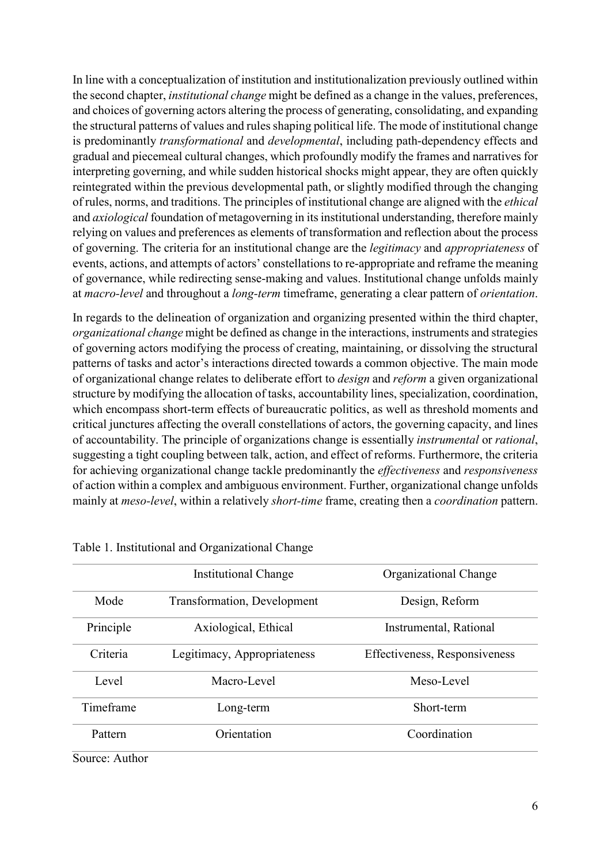In line with a conceptualization of institution and institutionalization previously outlined within the second chapter, *institutional change* might be defined as a change in the values, preferences, and choices of governing actors altering the process of generating, consolidating, and expanding the structural patterns of values and rules shaping political life. The mode of institutional change is predominantly *transformational* and *developmental*, including path-dependency effects and gradual and piecemeal cultural changes, which profoundly modify the frames and narratives for interpreting governing, and while sudden historical shocks might appear, they are often quickly reintegrated within the previous developmental path, or slightly modified through the changing of rules, norms, and traditions. The principles of institutional change are aligned with the *ethical* and *axiological* foundation of metagoverning in its institutional understanding, therefore mainly relying on values and preferences as elements of transformation and reflection about the process of governing. The criteria for an institutional change are the *legitimacy* and *appropriateness* of events, actions, and attempts of actors' constellations to re-appropriate and reframe the meaning of governance, while redirecting sense-making and values. Institutional change unfolds mainly at *macro-level* and throughout a *long-term* timeframe, generating a clear pattern of *orientation*.

In regards to the delineation of organization and organizing presented within the third chapter, *organizational change* might be defined as change in the interactions, instruments and strategies of governing actors modifying the process of creating, maintaining, or dissolving the structural patterns of tasks and actor's interactions directed towards a common objective. The main mode of organizational change relates to deliberate effort to *design* and *reform* a given organizational structure by modifying the allocation of tasks, accountability lines, specialization, coordination, which encompass short-term effects of bureaucratic politics, as well as threshold moments and critical junctures affecting the overall constellations of actors, the governing capacity, and lines of accountability. The principle of organizations change is essentially *instrumental* or *rational*, suggesting a tight coupling between talk, action, and effect of reforms. Furthermore, the criteria for achieving organizational change tackle predominantly the *effectiveness* and *responsiveness* of action within a complex and ambiguous environment. Further, organizational change unfolds mainly at *meso-level*, within a relatively *short-time* frame, creating then a *coordination* pattern.

|           | Institutional Change                | Organizational Change         |  |
|-----------|-------------------------------------|-------------------------------|--|
| Mode      | <b>Transformation</b> , Development | Design, Reform                |  |
| Principle | Axiological, Ethical                | Instrumental, Rational        |  |
| Criteria  | Legitimacy, Appropriateness         | Effectiveness, Responsiveness |  |
| Level     | Macro-Level                         | Meso-Level                    |  |
| Timeframe | Long-term                           | Short-term                    |  |
| Pattern   | Orientation                         | Coordination                  |  |

Table 1. Institutional and Organizational Change

Source: Author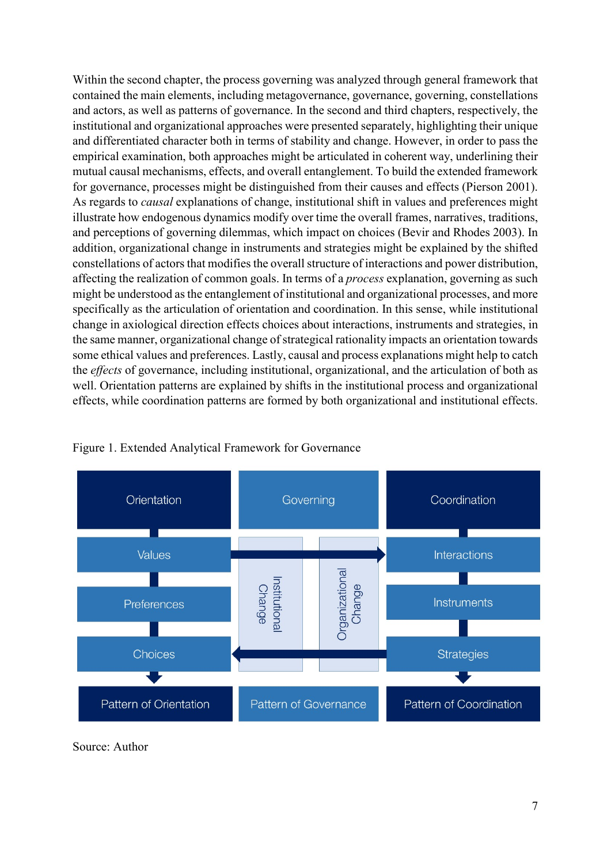Within the second chapter, the process governing was analyzed through general framework that contained the main elements, including metagovernance, governance, governing, constellations and actors, as well as patterns of governance. In the second and third chapters, respectively, the institutional and organizational approaches were presented separately, highlighting their unique and differentiated character both in terms of stability and change. However, in order to pass the empirical examination, both approaches might be articulated in coherent way, underlining their mutual causal mechanisms, effects, and overall entanglement. To build the extended framework for governance, processes might be distinguished from their causes and effects (Pierson 2001). As regards to *causal* explanations of change, institutional shift in values and preferences might illustrate how endogenous dynamics modify over time the overall frames, narratives, traditions, and perceptions of governing dilemmas, which impact on choices (Bevir and Rhodes 2003). In addition, organizational change in instruments and strategies might be explained by the shifted constellations of actors that modifies the overall structure of interactions and power distribution, affecting the realization of common goals. In terms of a *process* explanation, governing as such might be understood as the entanglement of institutional and organizational processes, and more specifically as the articulation of orientation and coordination. In this sense, while institutional change in axiological direction effects choices about interactions, instruments and strategies, in the same manner, organizational change of strategical rationality impacts an orientation towards some ethical values and preferences. Lastly, causal and process explanations might help to catch the *effects* of governance, including institutional, organizational, and the articulation of both as well. Orientation patterns are explained by shifts in the institutional process and organizational effects, while coordination patterns are formed by both organizational and institutional effects.



Figure 1. Extended Analytical Framework for Governance

Source: Author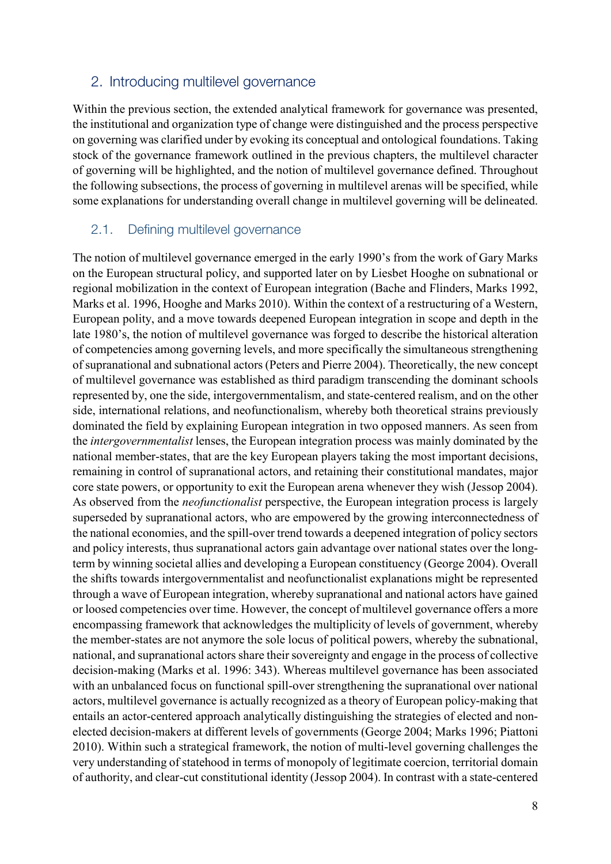### 2. Introducing multilevel governance

Within the previous section, the extended analytical framework for governance was presented, the institutional and organization type of change were distinguished and the process perspective on governing was clarified under by evoking its conceptual and ontological foundations. Taking stock of the governance framework outlined in the previous chapters, the multilevel character of governing will be highlighted, and the notion of multilevel governance defined. Throughout the following subsections, the process of governing in multilevel arenas will be specified, while some explanations for understanding overall change in multilevel governing will be delineated.

#### 2.1. Defining multilevel governance

The notion of multilevel governance emerged in the early 1990's from the work of Gary Marks on the European structural policy, and supported later on by Liesbet Hooghe on subnational or regional mobilization in the context of European integration (Bache and Flinders, Marks 1992, Marks et al. 1996, Hooghe and Marks 2010). Within the context of a restructuring of a Western, European polity, and a move towards deepened European integration in scope and depth in the late 1980's, the notion of multilevel governance was forged to describe the historical alteration of competencies among governing levels, and more specifically the simultaneous strengthening of supranational and subnational actors (Peters and Pierre 2004). Theoretically, the new concept of multilevel governance was established as third paradigm transcending the dominant schools represented by, one the side, intergovernmentalism, and state-centered realism, and on the other side, international relations, and neofunctionalism, whereby both theoretical strains previously dominated the field by explaining European integration in two opposed manners. As seen from the *intergovernmentalist* lenses, the European integration process was mainly dominated by the national member-states, that are the key European players taking the most important decisions, remaining in control of supranational actors, and retaining their constitutional mandates, major core state powers, or opportunity to exit the European arena whenever they wish (Jessop 2004). As observed from the *neofunctionalist* perspective, the European integration process is largely superseded by supranational actors, who are empowered by the growing interconnectedness of the national economies, and the spill-over trend towards a deepened integration of policy sectors and policy interests, thus supranational actors gain advantage over national states over the longterm by winning societal allies and developing a European constituency (George 2004). Overall the shifts towards intergovernmentalist and neofunctionalist explanations might be represented through a wave of European integration, whereby supranational and national actors have gained or loosed competencies over time. However, the concept of multilevel governance offers a more encompassing framework that acknowledges the multiplicity of levels of government, whereby the member-states are not anymore the sole locus of political powers, whereby the subnational, national, and supranational actors share their sovereignty and engage in the process of collective decision-making (Marks et al. 1996: 343). Whereas multilevel governance has been associated with an unbalanced focus on functional spill-over strengthening the supranational over national actors, multilevel governance is actually recognized as a theory of European policy-making that entails an actor-centered approach analytically distinguishing the strategies of elected and nonelected decision-makers at different levels of governments (George 2004; Marks 1996; Piattoni 2010). Within such a strategical framework, the notion of multi-level governing challenges the very understanding of statehood in terms of monopoly of legitimate coercion, territorial domain of authority, and clear-cut constitutional identity (Jessop 2004). In contrast with a state-centered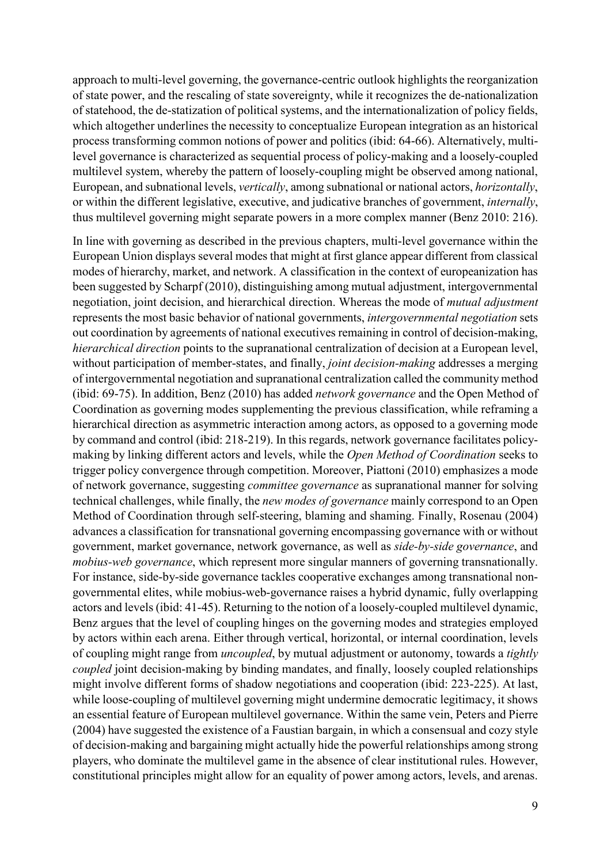approach to multi-level governing, the governance-centric outlook highlights the reorganization of state power, and the rescaling of state sovereignty, while it recognizes the de-nationalization of statehood, the de-statization of political systems, and the internationalization of policy fields, which altogether underlines the necessity to conceptualize European integration as an historical process transforming common notions of power and politics (ibid: 64-66). Alternatively, multilevel governance is characterized as sequential process of policy-making and a loosely-coupled multilevel system, whereby the pattern of loosely-coupling might be observed among national, European, and subnational levels, *vertically*, among subnational or national actors, *horizontally*, or within the different legislative, executive, and judicative branches of government, *internally*, thus multilevel governing might separate powers in a more complex manner (Benz 2010: 216).

In line with governing as described in the previous chapters, multi-level governance within the European Union displays several modes that might at first glance appear different from classical modes of hierarchy, market, and network. A classification in the context of europeanization has been suggested by Scharpf (2010), distinguishing among mutual adjustment, intergovernmental negotiation, joint decision, and hierarchical direction. Whereas the mode of *mutual adjustment* represents the most basic behavior of national governments, *intergovernmental negotiation* sets out coordination by agreements of national executives remaining in control of decision-making, *hierarchical direction* points to the supranational centralization of decision at a European level, without participation of member-states, and finally, *joint decision-making* addresses a merging of intergovernmental negotiation and supranational centralization called the community method (ibid: 69-75). In addition, Benz (2010) has added *network governance* and the Open Method of Coordination as governing modes supplementing the previous classification, while reframing a hierarchical direction as asymmetric interaction among actors, as opposed to a governing mode by command and control (ibid: 218-219). In this regards, network governance facilitates policymaking by linking different actors and levels, while the *Open Method of Coordination* seeks to trigger policy convergence through competition. Moreover, Piattoni (2010) emphasizes a mode of network governance, suggesting *committee governance* as supranational manner for solving technical challenges, while finally, the *new modes of governance* mainly correspond to an Open Method of Coordination through self-steering, blaming and shaming. Finally, Rosenau (2004) advances a classification for transnational governing encompassing governance with or without government, market governance, network governance, as well as *side-by-side governance*, and *mobius-web governance*, which represent more singular manners of governing transnationally. For instance, side-by-side governance tackles cooperative exchanges among transnational nongovernmental elites, while mobius-web-governance raises a hybrid dynamic, fully overlapping actors and levels (ibid: 41-45). Returning to the notion of a loosely-coupled multilevel dynamic, Benz argues that the level of coupling hinges on the governing modes and strategies employed by actors within each arena. Either through vertical, horizontal, or internal coordination, levels of coupling might range from *uncoupled*, by mutual adjustment or autonomy, towards a *tightly coupled* joint decision-making by binding mandates, and finally, loosely coupled relationships might involve different forms of shadow negotiations and cooperation (ibid: 223-225). At last, while loose-coupling of multilevel governing might undermine democratic legitimacy, it shows an essential feature of European multilevel governance. Within the same vein, Peters and Pierre (2004) have suggested the existence of a Faustian bargain, in which a consensual and cozy style of decision-making and bargaining might actually hide the powerful relationships among strong players, who dominate the multilevel game in the absence of clear institutional rules. However, constitutional principles might allow for an equality of power among actors, levels, and arenas.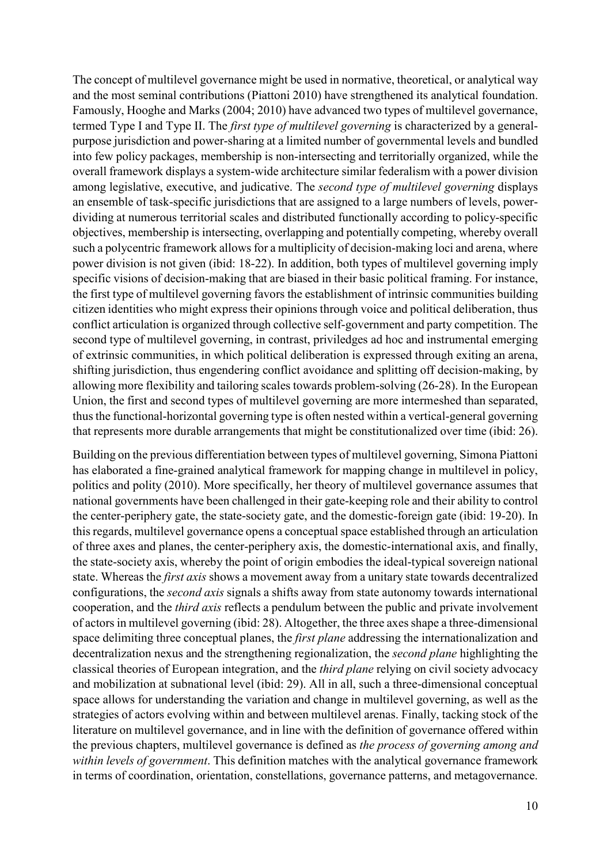The concept of multilevel governance might be used in normative, theoretical, or analytical way and the most seminal contributions (Piattoni 2010) have strengthened its analytical foundation. Famously, Hooghe and Marks (2004; 2010) have advanced two types of multilevel governance, termed Type I and Type II. The *first type of multilevel governing* is characterized by a generalpurpose jurisdiction and power-sharing at a limited number of governmental levels and bundled into few policy packages, membership is non-intersecting and territorially organized, while the overall framework displays a system-wide architecture similar federalism with a power division among legislative, executive, and judicative. The *second type of multilevel governing* displays an ensemble of task-specific jurisdictions that are assigned to a large numbers of levels, powerdividing at numerous territorial scales and distributed functionally according to policy-specific objectives, membership is intersecting, overlapping and potentially competing, whereby overall such a polycentric framework allows for a multiplicity of decision-making loci and arena, where power division is not given (ibid: 18-22). In addition, both types of multilevel governing imply specific visions of decision-making that are biased in their basic political framing. For instance, the first type of multilevel governing favors the establishment of intrinsic communities building citizen identities who might express their opinions through voice and political deliberation, thus conflict articulation is organized through collective self-government and party competition. The second type of multilevel governing, in contrast, priviledges ad hoc and instrumental emerging of extrinsic communities, in which political deliberation is expressed through exiting an arena, shifting jurisdiction, thus engendering conflict avoidance and splitting off decision-making, by allowing more flexibility and tailoring scales towards problem-solving (26-28). In the European Union, the first and second types of multilevel governing are more intermeshed than separated, thus the functional-horizontal governing type is often nested within a vertical-general governing that represents more durable arrangements that might be constitutionalized over time (ibid: 26).

Building on the previous differentiation between types of multilevel governing, Simona Piattoni has elaborated a fine-grained analytical framework for mapping change in multilevel in policy, politics and polity (2010). More specifically, her theory of multilevel governance assumes that national governments have been challenged in their gate-keeping role and their ability to control the center-periphery gate, the state-society gate, and the domestic-foreign gate (ibid: 19-20). In this regards, multilevel governance opens a conceptual space established through an articulation of three axes and planes, the center-periphery axis, the domestic-international axis, and finally, the state-society axis, whereby the point of origin embodies the ideal-typical sovereign national state. Whereas the *first axis* shows a movement away from a unitary state towards decentralized configurations, the *second axis* signals a shifts away from state autonomy towards international cooperation, and the *third axis* reflects a pendulum between the public and private involvement of actors in multilevel governing (ibid: 28). Altogether, the three axes shape a three-dimensional space delimiting three conceptual planes, the *first plane* addressing the internationalization and decentralization nexus and the strengthening regionalization, the *second plane* highlighting the classical theories of European integration, and the *third plane* relying on civil society advocacy and mobilization at subnational level (ibid: 29). All in all, such a three-dimensional conceptual space allows for understanding the variation and change in multilevel governing, as well as the strategies of actors evolving within and between multilevel arenas. Finally, tacking stock of the literature on multilevel governance, and in line with the definition of governance offered within the previous chapters, multilevel governance is defined as *the process of governing among and within levels of government*. This definition matches with the analytical governance framework in terms of coordination, orientation, constellations, governance patterns, and metagovernance.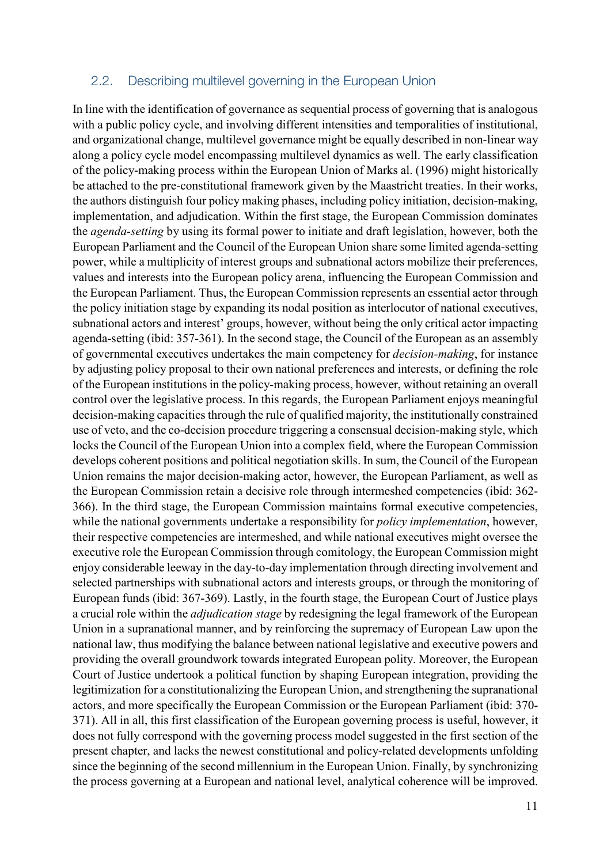#### 2.2. Describing multilevel governing in the European Union

In line with the identification of governance as sequential process of governing that is analogous with a public policy cycle, and involving different intensities and temporalities of institutional, and organizational change, multilevel governance might be equally described in non-linear way along a policy cycle model encompassing multilevel dynamics as well. The early classification of the policy-making process within the European Union of Marks al. (1996) might historically be attached to the pre-constitutional framework given by the Maastricht treaties. In their works, the authors distinguish four policy making phases, including policy initiation, decision-making, implementation, and adjudication. Within the first stage, the European Commission dominates the *agenda-setting* by using its formal power to initiate and draft legislation, however, both the European Parliament and the Council of the European Union share some limited agenda-setting power, while a multiplicity of interest groups and subnational actors mobilize their preferences, values and interests into the European policy arena, influencing the European Commission and the European Parliament. Thus, the European Commission represents an essential actor through the policy initiation stage by expanding its nodal position as interlocutor of national executives, subnational actors and interest' groups, however, without being the only critical actor impacting agenda-setting (ibid: 357-361). In the second stage, the Council of the European as an assembly of governmental executives undertakes the main competency for *decision-making*, for instance by adjusting policy proposal to their own national preferences and interests, or defining the role of the European institutions in the policy-making process, however, without retaining an overall control over the legislative process. In this regards, the European Parliament enjoys meaningful decision-making capacities through the rule of qualified majority, the institutionally constrained use of veto, and the co-decision procedure triggering a consensual decision-making style, which locks the Council of the European Union into a complex field, where the European Commission develops coherent positions and political negotiation skills. In sum, the Council of the European Union remains the major decision-making actor, however, the European Parliament, as well as the European Commission retain a decisive role through intermeshed competencies (ibid: 362- 366). In the third stage, the European Commission maintains formal executive competencies, while the national governments undertake a responsibility for *policy implementation*, however, their respective competencies are intermeshed, and while national executives might oversee the executive role the European Commission through comitology, the European Commission might enjoy considerable leeway in the day-to-day implementation through directing involvement and selected partnerships with subnational actors and interests groups, or through the monitoring of European funds (ibid: 367-369). Lastly, in the fourth stage, the European Court of Justice plays a crucial role within the *adjudication stage* by redesigning the legal framework of the European Union in a supranational manner, and by reinforcing the supremacy of European Law upon the national law, thus modifying the balance between national legislative and executive powers and providing the overall groundwork towards integrated European polity. Moreover, the European Court of Justice undertook a political function by shaping European integration, providing the legitimization for a constitutionalizing the European Union, and strengthening the supranational actors, and more specifically the European Commission or the European Parliament (ibid: 370- 371). All in all, this first classification of the European governing process is useful, however, it does not fully correspond with the governing process model suggested in the first section of the present chapter, and lacks the newest constitutional and policy-related developments unfolding since the beginning of the second millennium in the European Union. Finally, by synchronizing the process governing at a European and national level, analytical coherence will be improved.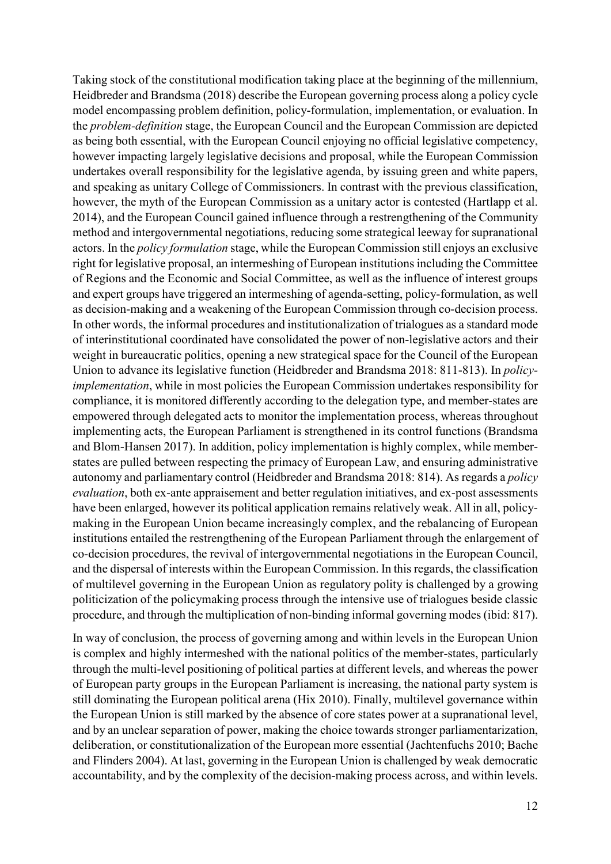Taking stock of the constitutional modification taking place at the beginning of the millennium, Heidbreder and Brandsma (2018) describe the European governing process along a policy cycle model encompassing problem definition, policy-formulation, implementation, or evaluation. In the *problem-definition* stage, the European Council and the European Commission are depicted as being both essential, with the European Council enjoying no official legislative competency, however impacting largely legislative decisions and proposal, while the European Commission undertakes overall responsibility for the legislative agenda, by issuing green and white papers, and speaking as unitary College of Commissioners. In contrast with the previous classification, however, the myth of the European Commission as a unitary actor is contested (Hartlapp et al. 2014), and the European Council gained influence through a restrengthening of the Community method and intergovernmental negotiations, reducing some strategical leeway for supranational actors. In the *policy formulation* stage, while the European Commission still enjoys an exclusive right for legislative proposal, an intermeshing of European institutions including the Committee of Regions and the Economic and Social Committee, as well as the influence of interest groups and expert groups have triggered an intermeshing of agenda-setting, policy-formulation, as well as decision-making and a weakening of the European Commission through co-decision process. In other words, the informal procedures and institutionalization of trialogues as a standard mode of interinstitutional coordinated have consolidated the power of non-legislative actors and their weight in bureaucratic politics, opening a new strategical space for the Council of the European Union to advance its legislative function (Heidbreder and Brandsma 2018: 811-813). In *policyimplementation*, while in most policies the European Commission undertakes responsibility for compliance, it is monitored differently according to the delegation type, and member-states are empowered through delegated acts to monitor the implementation process, whereas throughout implementing acts, the European Parliament is strengthened in its control functions (Brandsma and Blom-Hansen 2017). In addition, policy implementation is highly complex, while memberstates are pulled between respecting the primacy of European Law, and ensuring administrative autonomy and parliamentary control (Heidbreder and Brandsma 2018: 814). As regards a *policy evaluation*, both ex-ante appraisement and better regulation initiatives, and ex-post assessments have been enlarged, however its political application remains relatively weak. All in all, policymaking in the European Union became increasingly complex, and the rebalancing of European institutions entailed the restrengthening of the European Parliament through the enlargement of co-decision procedures, the revival of intergovernmental negotiations in the European Council, and the dispersal of interests within the European Commission. In this regards, the classification of multilevel governing in the European Union as regulatory polity is challenged by a growing politicization of the policymaking process through the intensive use of trialogues beside classic procedure, and through the multiplication of non-binding informal governing modes (ibid: 817).

In way of conclusion, the process of governing among and within levels in the European Union is complex and highly intermeshed with the national politics of the member-states, particularly through the multi-level positioning of political parties at different levels, and whereas the power of European party groups in the European Parliament is increasing, the national party system is still dominating the European political arena (Hix 2010). Finally, multilevel governance within the European Union is still marked by the absence of core states power at a supranational level, and by an unclear separation of power, making the choice towards stronger parliamentarization, deliberation, or constitutionalization of the European more essential (Jachtenfuchs 2010; Bache and Flinders 2004). At last, governing in the European Union is challenged by weak democratic accountability, and by the complexity of the decision-making process across, and within levels.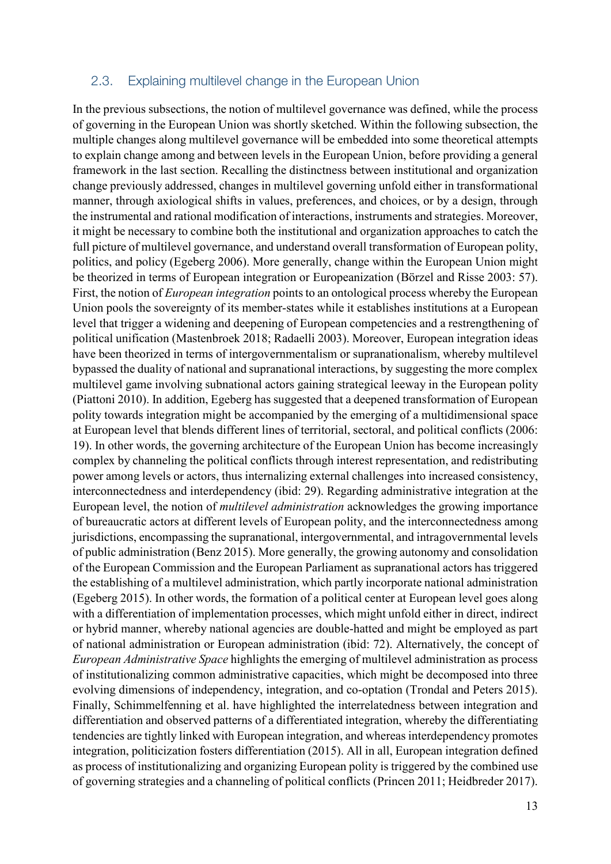#### 2.3. Explaining multilevel change in the European Union

In the previous subsections, the notion of multilevel governance was defined, while the process of governing in the European Union was shortly sketched. Within the following subsection, the multiple changes along multilevel governance will be embedded into some theoretical attempts to explain change among and between levels in the European Union, before providing a general framework in the last section. Recalling the distinctness between institutional and organization change previously addressed, changes in multilevel governing unfold either in transformational manner, through axiological shifts in values, preferences, and choices, or by a design, through the instrumental and rational modification of interactions, instruments and strategies. Moreover, it might be necessary to combine both the institutional and organization approaches to catch the full picture of multilevel governance, and understand overall transformation of European polity, politics, and policy (Egeberg 2006). More generally, change within the European Union might be theorized in terms of European integration or Europeanization (Börzel and Risse 2003: 57). First, the notion of *European integration* points to an ontological process whereby the European Union pools the sovereignty of its member-states while it establishes institutions at a European level that trigger a widening and deepening of European competencies and a restrengthening of political unification (Mastenbroek 2018; Radaelli 2003). Moreover, European integration ideas have been theorized in terms of intergovernmentalism or supranationalism, whereby multilevel bypassed the duality of national and supranational interactions, by suggesting the more complex multilevel game involving subnational actors gaining strategical leeway in the European polity (Piattoni 2010). In addition, Egeberg has suggested that a deepened transformation of European polity towards integration might be accompanied by the emerging of a multidimensional space at European level that blends different lines of territorial, sectoral, and political conflicts (2006: 19). In other words, the governing architecture of the European Union has become increasingly complex by channeling the political conflicts through interest representation, and redistributing power among levels or actors, thus internalizing external challenges into increased consistency, interconnectedness and interdependency (ibid: 29). Regarding administrative integration at the European level, the notion of *multilevel administration* acknowledges the growing importance of bureaucratic actors at different levels of European polity, and the interconnectedness among jurisdictions, encompassing the supranational, intergovernmental, and intragovernmental levels of public administration (Benz 2015). More generally, the growing autonomy and consolidation of the European Commission and the European Parliament as supranational actors has triggered the establishing of a multilevel administration, which partly incorporate national administration (Egeberg 2015). In other words, the formation of a political center at European level goes along with a differentiation of implementation processes, which might unfold either in direct, indirect or hybrid manner, whereby national agencies are double-hatted and might be employed as part of national administration or European administration (ibid: 72). Alternatively, the concept of *European Administrative Space* highlights the emerging of multilevel administration as process of institutionalizing common administrative capacities, which might be decomposed into three evolving dimensions of independency, integration, and co-optation (Trondal and Peters 2015). Finally, Schimmelfenning et al. have highlighted the interrelatedness between integration and differentiation and observed patterns of a differentiated integration, whereby the differentiating tendencies are tightly linked with European integration, and whereas interdependency promotes integration, politicization fosters differentiation (2015). All in all, European integration defined as process of institutionalizing and organizing European polity is triggered by the combined use of governing strategies and a channeling of political conflicts (Princen 2011; Heidbreder 2017).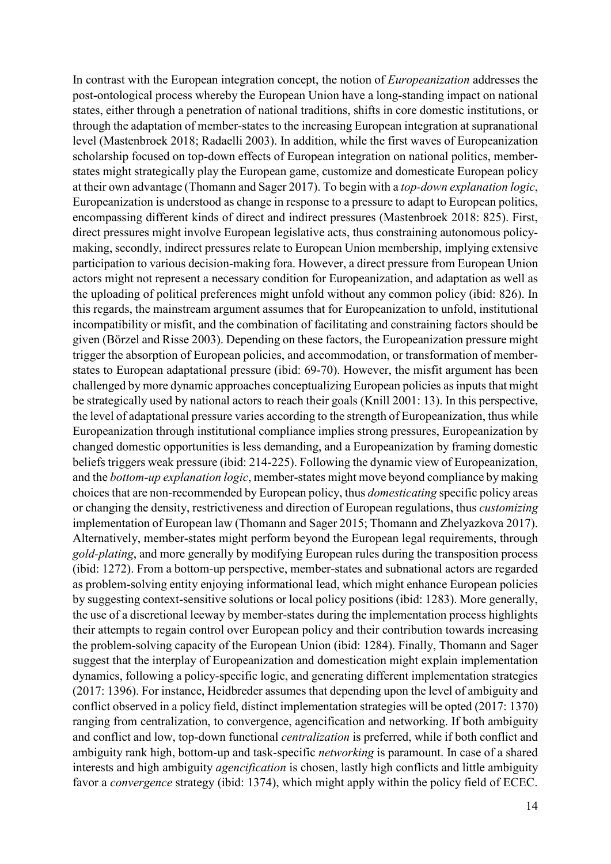In contrast with the European integration concept, the notion of *Europeanization* addresses the post-ontological process whereby the European Union have a long-standing impact on national states, either through a penetration of national traditions, shifts in core domestic institutions, or through the adaptation of member-states to the increasing European integration at supranational level (Mastenbroek 2018; Radaelli 2003). In addition, while the first waves of Europeanization scholarship focused on top-down effects of European integration on national politics, memberstates might strategically play the European game, customize and domesticate European policy at their own advantage (Thomann and Sager 2017). To begin with a *top-down explanation logic*, Europeanization is understood as change in response to a pressure to adapt to European politics, encompassing different kinds of direct and indirect pressures (Mastenbroek 2018: 825). First, direct pressures might involve European legislative acts, thus constraining autonomous policymaking, secondly, indirect pressures relate to European Union membership, implying extensive participation to various decision-making fora. However, a direct pressure from European Union actors might not represent a necessary condition for Europeanization, and adaptation as well as the uploading of political preferences might unfold without any common policy (ibid: 826). In this regards, the mainstream argument assumes that for Europeanization to unfold, institutional incompatibility or misfit, and the combination of facilitating and constraining factors should be given (Börzel and Risse 2003). Depending on these factors, the Europeanization pressure might trigger the absorption of European policies, and accommodation, or transformation of memberstates to European adaptational pressure (ibid: 69-70). However, the misfit argument has been challenged by more dynamic approaches conceptualizing European policies as inputs that might be strategically used by national actors to reach their goals (Knill 2001: 13). In this perspective, the level of adaptational pressure varies according to the strength of Europeanization, thus while Europeanization through institutional compliance implies strong pressures, Europeanization by changed domestic opportunities is less demanding, and a Europeanization by framing domestic beliefs triggers weak pressure (ibid: 214-225). Following the dynamic view of Europeanization, and the *bottom-up explanation logic*, member-states might move beyond compliance by making choices that are non-recommended by European policy, thus *domesticating* specific policy areas or changing the density, restrictiveness and direction of European regulations, thus *customizing* implementation of European law (Thomann and Sager 2015; Thomann and Zhelyazkova 2017). Alternatively, member-states might perform beyond the European legal requirements, through *gold-plating*, and more generally by modifying European rules during the transposition process (ibid: 1272). From a bottom-up perspective, member-states and subnational actors are regarded as problem-solving entity enjoying informational lead, which might enhance European policies by suggesting context-sensitive solutions or local policy positions (ibid: 1283). More generally, the use of a discretional leeway by member-states during the implementation process highlights their attempts to regain control over European policy and their contribution towards increasing the problem-solving capacity of the European Union (ibid: 1284). Finally, Thomann and Sager suggest that the interplay of Europeanization and domestication might explain implementation dynamics, following a policy-specific logic, and generating different implementation strategies (2017: 1396). For instance, Heidbreder assumes that depending upon the level of ambiguity and conflict observed in a policy field, distinct implementation strategies will be opted (2017: 1370) ranging from centralization, to convergence, agencification and networking. If both ambiguity and conflict and low, top-down functional *centralization* is preferred, while if both conflict and ambiguity rank high, bottom-up and task-specific *networking* is paramount. In case of a shared interests and high ambiguity *agencification* is chosen, lastly high conflicts and little ambiguity favor a *convergence* strategy (ibid: 1374), which might apply within the policy field of ECEC.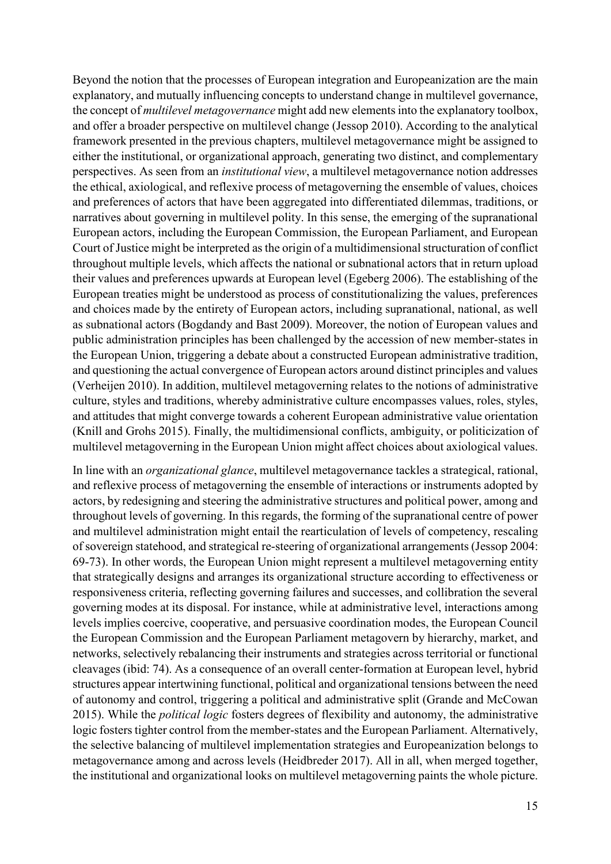Beyond the notion that the processes of European integration and Europeanization are the main explanatory, and mutually influencing concepts to understand change in multilevel governance, the concept of *multilevel metagovernance* might add new elements into the explanatory toolbox, and offer a broader perspective on multilevel change (Jessop 2010). According to the analytical framework presented in the previous chapters, multilevel metagovernance might be assigned to either the institutional, or organizational approach, generating two distinct, and complementary perspectives. As seen from an *institutional view*, a multilevel metagovernance notion addresses the ethical, axiological, and reflexive process of metagoverning the ensemble of values, choices and preferences of actors that have been aggregated into differentiated dilemmas, traditions, or narratives about governing in multilevel polity. In this sense, the emerging of the supranational European actors, including the European Commission, the European Parliament, and European Court of Justice might be interpreted as the origin of a multidimensional structuration of conflict throughout multiple levels, which affects the national or subnational actors that in return upload their values and preferences upwards at European level (Egeberg 2006). The establishing of the European treaties might be understood as process of constitutionalizing the values, preferences and choices made by the entirety of European actors, including supranational, national, as well as subnational actors (Bogdandy and Bast 2009). Moreover, the notion of European values and public administration principles has been challenged by the accession of new member-states in the European Union, triggering a debate about a constructed European administrative tradition, and questioning the actual convergence of European actors around distinct principles and values (Verheijen 2010). In addition, multilevel metagoverning relates to the notions of administrative culture, styles and traditions, whereby administrative culture encompasses values, roles, styles, and attitudes that might converge towards a coherent European administrative value orientation (Knill and Grohs 2015). Finally, the multidimensional conflicts, ambiguity, or politicization of multilevel metagoverning in the European Union might affect choices about axiological values.

In line with an *organizational glance*, multilevel metagovernance tackles a strategical, rational, and reflexive process of metagoverning the ensemble of interactions or instruments adopted by actors, by redesigning and steering the administrative structures and political power, among and throughout levels of governing. In this regards, the forming of the supranational centre of power and multilevel administration might entail the rearticulation of levels of competency, rescaling of sovereign statehood, and strategical re-steering of organizational arrangements (Jessop 2004: 69-73). In other words, the European Union might represent a multilevel metagoverning entity that strategically designs and arranges its organizational structure according to effectiveness or responsiveness criteria, reflecting governing failures and successes, and collibration the several governing modes at its disposal. For instance, while at administrative level, interactions among levels implies coercive, cooperative, and persuasive coordination modes, the European Council the European Commission and the European Parliament metagovern by hierarchy, market, and networks, selectively rebalancing their instruments and strategies across territorial or functional cleavages (ibid: 74). As a consequence of an overall center-formation at European level, hybrid structures appear intertwining functional, political and organizational tensions between the need of autonomy and control, triggering a political and administrative split (Grande and McCowan 2015). While the *political logic* fosters degrees of flexibility and autonomy, the administrative logic fosters tighter control from the member-states and the European Parliament. Alternatively, the selective balancing of multilevel implementation strategies and Europeanization belongs to metagovernance among and across levels (Heidbreder 2017). All in all, when merged together, the institutional and organizational looks on multilevel metagoverning paints the whole picture.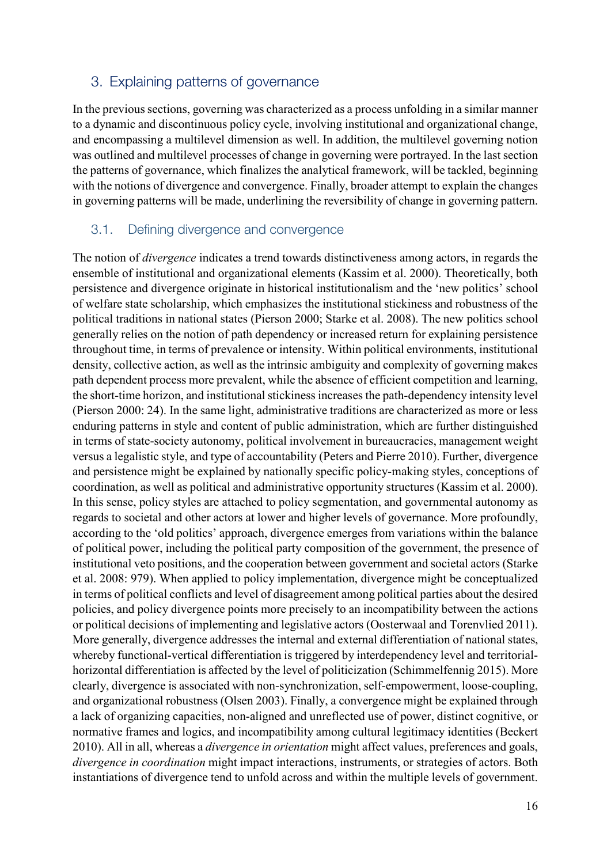## 3. Explaining patterns of governance

In the previous sections, governing was characterized as a process unfolding in a similar manner to a dynamic and discontinuous policy cycle, involving institutional and organizational change, and encompassing a multilevel dimension as well. In addition, the multilevel governing notion was outlined and multilevel processes of change in governing were portrayed. In the last section the patterns of governance, which finalizes the analytical framework, will be tackled, beginning with the notions of divergence and convergence. Finally, broader attempt to explain the changes in governing patterns will be made, underlining the reversibility of change in governing pattern.

#### 3.1. Defining divergence and convergence

The notion of *divergence* indicates a trend towards distinctiveness among actors, in regards the ensemble of institutional and organizational elements (Kassim et al. 2000). Theoretically, both persistence and divergence originate in historical institutionalism and the 'new politics' school of welfare state scholarship, which emphasizes the institutional stickiness and robustness of the political traditions in national states (Pierson 2000; Starke et al. 2008). The new politics school generally relies on the notion of path dependency or increased return for explaining persistence throughout time, in terms of prevalence or intensity. Within political environments, institutional density, collective action, as well as the intrinsic ambiguity and complexity of governing makes path dependent process more prevalent, while the absence of efficient competition and learning, the short-time horizon, and institutional stickiness increasesthe path-dependency intensity level (Pierson 2000: 24). In the same light, administrative traditions are characterized as more or less enduring patterns in style and content of public administration, which are further distinguished in terms of state-society autonomy, political involvement in bureaucracies, management weight versus a legalistic style, and type of accountability (Peters and Pierre 2010). Further, divergence and persistence might be explained by nationally specific policy-making styles, conceptions of coordination, as well as political and administrative opportunity structures (Kassim et al. 2000). In this sense, policy styles are attached to policy segmentation, and governmental autonomy as regards to societal and other actors at lower and higher levels of governance. More profoundly, according to the 'old politics' approach, divergence emerges from variations within the balance of political power, including the political party composition of the government, the presence of institutional veto positions, and the cooperation between government and societal actors (Starke et al. 2008: 979). When applied to policy implementation, divergence might be conceptualized in terms of political conflicts and level of disagreement among political parties about the desired policies, and policy divergence points more precisely to an incompatibility between the actions or political decisions of implementing and legislative actors (Oosterwaal and Torenvlied 2011). More generally, divergence addresses the internal and external differentiation of national states, whereby functional-vertical differentiation is triggered by interdependency level and territorialhorizontal differentiation is affected by the level of politicization (Schimmelfennig 2015). More clearly, divergence is associated with non-synchronization, self-empowerment, loose-coupling, and organizational robustness (Olsen 2003). Finally, a convergence might be explained through a lack of organizing capacities, non-aligned and unreflected use of power, distinct cognitive, or normative frames and logics, and incompatibility among cultural legitimacy identities (Beckert 2010). All in all, whereas a *divergence in orientation* might affect values, preferences and goals, *divergence in coordination* might impact interactions, instruments, or strategies of actors. Both instantiations of divergence tend to unfold across and within the multiple levels of government.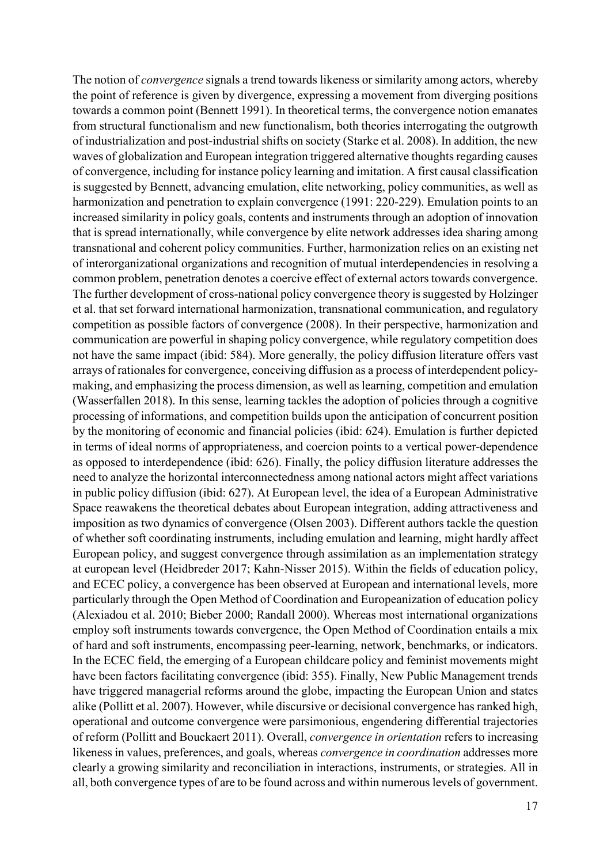The notion of *convergence* signals a trend towards likeness or similarity among actors, whereby the point of reference is given by divergence, expressing a movement from diverging positions towards a common point (Bennett 1991). In theoretical terms, the convergence notion emanates from structural functionalism and new functionalism, both theories interrogating the outgrowth of industrialization and post-industrial shifts on society (Starke et al. 2008). In addition, the new waves of globalization and European integration triggered alternative thoughts regarding causes of convergence, including for instance policy learning and imitation. A first causal classification is suggested by Bennett, advancing emulation, elite networking, policy communities, as well as harmonization and penetration to explain convergence (1991: 220-229). Emulation points to an increased similarity in policy goals, contents and instruments through an adoption of innovation that is spread internationally, while convergence by elite network addresses idea sharing among transnational and coherent policy communities. Further, harmonization relies on an existing net of interorganizational organizations and recognition of mutual interdependencies in resolving a common problem, penetration denotes a coercive effect of external actors towards convergence. The further development of cross-national policy convergence theory is suggested by Holzinger et al. that set forward international harmonization, transnational communication, and regulatory competition as possible factors of convergence (2008). In their perspective, harmonization and communication are powerful in shaping policy convergence, while regulatory competition does not have the same impact (ibid: 584). More generally, the policy diffusion literature offers vast arrays of rationales for convergence, conceiving diffusion as a process of interdependent policymaking, and emphasizing the process dimension, as well as learning, competition and emulation (Wasserfallen 2018). In this sense, learning tackles the adoption of policies through a cognitive processing of informations, and competition builds upon the anticipation of concurrent position by the monitoring of economic and financial policies (ibid: 624). Emulation is further depicted in terms of ideal norms of appropriateness, and coercion points to a vertical power-dependence as opposed to interdependence (ibid: 626). Finally, the policy diffusion literature addresses the need to analyze the horizontal interconnectedness among national actors might affect variations in public policy diffusion (ibid: 627). At European level, the idea of a European Administrative Space reawakens the theoretical debates about European integration, adding attractiveness and imposition as two dynamics of convergence (Olsen 2003). Different authors tackle the question of whether soft coordinating instruments, including emulation and learning, might hardly affect European policy, and suggest convergence through assimilation as an implementation strategy at european level (Heidbreder 2017; Kahn-Nisser 2015). Within the fields of education policy, and ECEC policy, a convergence has been observed at European and international levels, more particularly through the Open Method of Coordination and Europeanization of education policy (Alexiadou et al. 2010; Bieber 2000; Randall 2000). Whereas most international organizations employ soft instruments towards convergence, the Open Method of Coordination entails a mix of hard and soft instruments, encompassing peer-learning, network, benchmarks, or indicators. In the ECEC field, the emerging of a European childcare policy and feminist movements might have been factors facilitating convergence (ibid: 355). Finally, New Public Management trends have triggered managerial reforms around the globe, impacting the European Union and states alike (Pollitt et al. 2007). However, while discursive or decisional convergence has ranked high, operational and outcome convergence were parsimonious, engendering differential trajectories of reform (Pollitt and Bouckaert 2011). Overall, *convergence in orientation* refers to increasing likeness in values, preferences, and goals, whereas *convergence in coordination* addresses more clearly a growing similarity and reconciliation in interactions, instruments, or strategies. All in all, both convergence types of are to be found across and within numerous levels of government.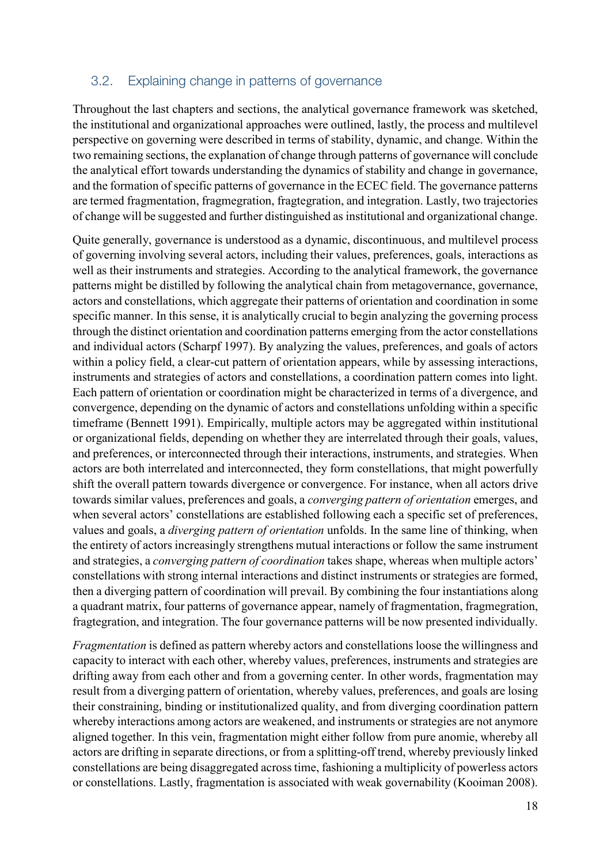## 3.2. Explaining change in patterns of governance

Throughout the last chapters and sections, the analytical governance framework was sketched, the institutional and organizational approaches were outlined, lastly, the process and multilevel perspective on governing were described in terms of stability, dynamic, and change. Within the two remaining sections, the explanation of change through patterns of governance will conclude the analytical effort towards understanding the dynamics of stability and change in governance, and the formation of specific patterns of governance in the ECEC field. The governance patterns are termed fragmentation, fragmegration, fragtegration, and integration. Lastly, two trajectories of change will be suggested and further distinguished as institutional and organizational change.

Quite generally, governance is understood as a dynamic, discontinuous, and multilevel process of governing involving several actors, including their values, preferences, goals, interactions as well as their instruments and strategies. According to the analytical framework, the governance patterns might be distilled by following the analytical chain from metagovernance, governance, actors and constellations, which aggregate their patterns of orientation and coordination in some specific manner. In this sense, it is analytically crucial to begin analyzing the governing process through the distinct orientation and coordination patterns emerging from the actor constellations and individual actors (Scharpf 1997). By analyzing the values, preferences, and goals of actors within a policy field, a clear-cut pattern of orientation appears, while by assessing interactions, instruments and strategies of actors and constellations, a coordination pattern comes into light. Each pattern of orientation or coordination might be characterized in terms of a divergence, and convergence, depending on the dynamic of actors and constellations unfolding within a specific timeframe (Bennett 1991). Empirically, multiple actors may be aggregated within institutional or organizational fields, depending on whether they are interrelated through their goals, values, and preferences, or interconnected through their interactions, instruments, and strategies. When actors are both interrelated and interconnected, they form constellations, that might powerfully shift the overall pattern towards divergence or convergence. For instance, when all actors drive towards similar values, preferences and goals, a *converging pattern of orientation* emerges, and when several actors' constellations are established following each a specific set of preferences, values and goals, a *diverging pattern of orientation* unfolds. In the same line of thinking, when the entirety of actors increasingly strengthens mutual interactions or follow the same instrument and strategies, a *converging pattern of coordination* takes shape, whereas when multiple actors' constellations with strong internal interactions and distinct instruments or strategies are formed, then a diverging pattern of coordination will prevail. By combining the four instantiations along a quadrant matrix, four patterns of governance appear, namely of fragmentation, fragmegration, fragtegration, and integration. The four governance patterns will be now presented individually.

*Fragmentation* is defined as pattern whereby actors and constellations loose the willingness and capacity to interact with each other, whereby values, preferences, instruments and strategies are drifting away from each other and from a governing center. In other words, fragmentation may result from a diverging pattern of orientation, whereby values, preferences, and goals are losing their constraining, binding or institutionalized quality, and from diverging coordination pattern whereby interactions among actors are weakened, and instruments or strategies are not anymore aligned together. In this vein, fragmentation might either follow from pure anomie, whereby all actors are drifting in separate directions, or from a splitting-off trend, whereby previously linked constellations are being disaggregated across time, fashioning a multiplicity of powerless actors or constellations. Lastly, fragmentation is associated with weak governability (Kooiman 2008).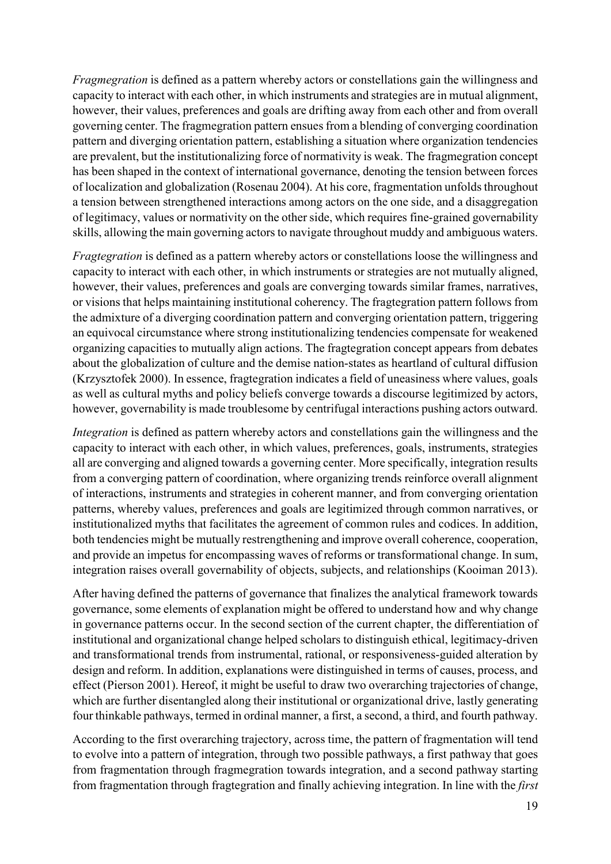*Fragmegration* is defined as a pattern whereby actors or constellations gain the willingness and capacity to interact with each other, in which instruments and strategies are in mutual alignment, however, their values, preferences and goals are drifting away from each other and from overall governing center. The fragmegration pattern ensues from a blending of converging coordination pattern and diverging orientation pattern, establishing a situation where organization tendencies are prevalent, but the institutionalizing force of normativity is weak. The fragmegration concept has been shaped in the context of international governance, denoting the tension between forces of localization and globalization (Rosenau 2004). At his core, fragmentation unfolds throughout a tension between strengthened interactions among actors on the one side, and a disaggregation of legitimacy, values or normativity on the other side, which requires fine-grained governability skills, allowing the main governing actors to navigate throughout muddy and ambiguous waters.

*Fragtegration* is defined as a pattern whereby actors or constellations loose the willingness and capacity to interact with each other, in which instruments or strategies are not mutually aligned, however, their values, preferences and goals are converging towards similar frames, narratives, or visions that helps maintaining institutional coherency. The fragtegration pattern follows from the admixture of a diverging coordination pattern and converging orientation pattern, triggering an equivocal circumstance where strong institutionalizing tendencies compensate for weakened organizing capacities to mutually align actions. The fragtegration concept appears from debates about the globalization of culture and the demise nation-states as heartland of cultural diffusion (Krzysztofek 2000). In essence, fragtegration indicates a field of uneasiness where values, goals as well as cultural myths and policy beliefs converge towards a discourse legitimized by actors, however, governability is made troublesome by centrifugal interactions pushing actors outward.

*Integration* is defined as pattern whereby actors and constellations gain the willingness and the capacity to interact with each other, in which values, preferences, goals, instruments, strategies all are converging and aligned towards a governing center. More specifically, integration results from a converging pattern of coordination, where organizing trends reinforce overall alignment of interactions, instruments and strategies in coherent manner, and from converging orientation patterns, whereby values, preferences and goals are legitimized through common narratives, or institutionalized myths that facilitates the agreement of common rules and codices. In addition, both tendencies might be mutually restrengthening and improve overall coherence, cooperation, and provide an impetus for encompassing waves of reforms or transformational change. In sum, integration raises overall governability of objects, subjects, and relationships (Kooiman 2013).

After having defined the patterns of governance that finalizes the analytical framework towards governance, some elements of explanation might be offered to understand how and why change in governance patterns occur. In the second section of the current chapter, the differentiation of institutional and organizational change helped scholars to distinguish ethical, legitimacy-driven and transformational trends from instrumental, rational, or responsiveness-guided alteration by design and reform. In addition, explanations were distinguished in terms of causes, process, and effect (Pierson 2001). Hereof, it might be useful to draw two overarching trajectories of change, which are further disentangled along their institutional or organizational drive, lastly generating four thinkable pathways, termed in ordinal manner, a first, a second, a third, and fourth pathway.

According to the first overarching trajectory, across time, the pattern of fragmentation will tend to evolve into a pattern of integration, through two possible pathways, a first pathway that goes from fragmentation through fragmegration towards integration, and a second pathway starting from fragmentation through fragtegration and finally achieving integration. In line with the *first*